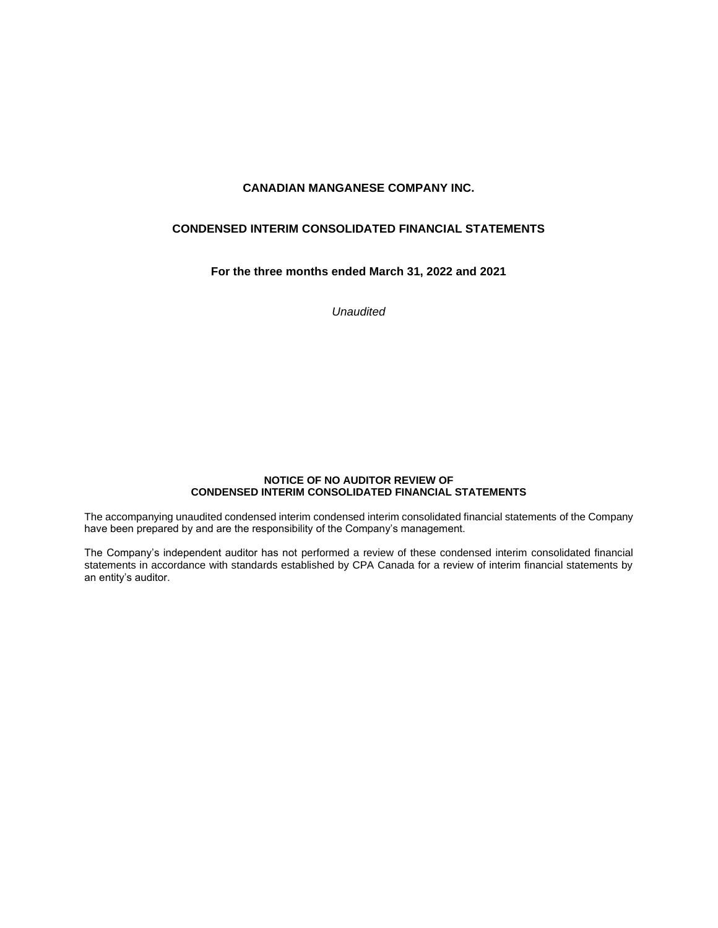# **CONDENSED INTERIM CONSOLIDATED FINANCIAL STATEMENTS**

# **For the three months ended March 31, 2022 and 2021**

*Unaudited* 

### **NOTICE OF NO AUDITOR REVIEW OF CONDENSED INTERIM CONSOLIDATED FINANCIAL STATEMENTS**

The accompanying unaudited condensed interim condensed interim consolidated financial statements of the Company have been prepared by and are the responsibility of the Company's management.

The Company's independent auditor has not performed a review of these condensed interim consolidated financial statements in accordance with standards established by CPA Canada for a review of interim financial statements by an entity's auditor.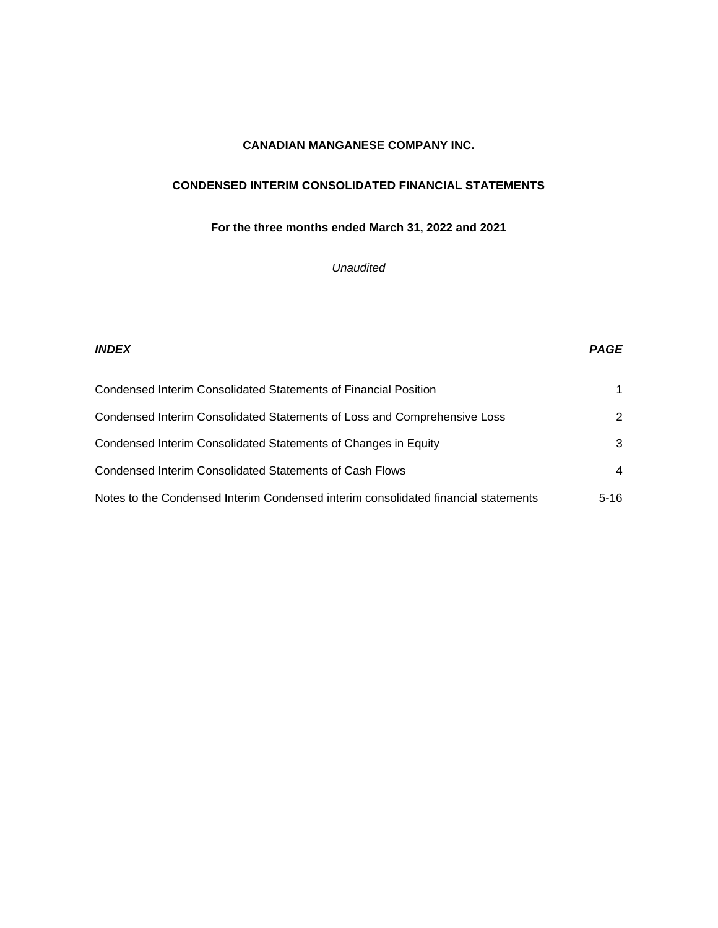# **CONDENSED INTERIM CONSOLIDATED FINANCIAL STATEMENTS**

# **For the three months ended March 31, 2022 and 2021**

# *Unaudited*

# *INDEX PAGE* Condensed Interim Consolidated Statements of Financial Position 1 Condensed Interim Consolidated Statements of Loss and Comprehensive Loss 2 Condensed Interim Consolidated Statements of Changes in Equity 3 Condensed Interim Consolidated Statements of Cash Flows 4 Notes to the Condensed Interim Condensed interim consolidated financial statements  $5-16$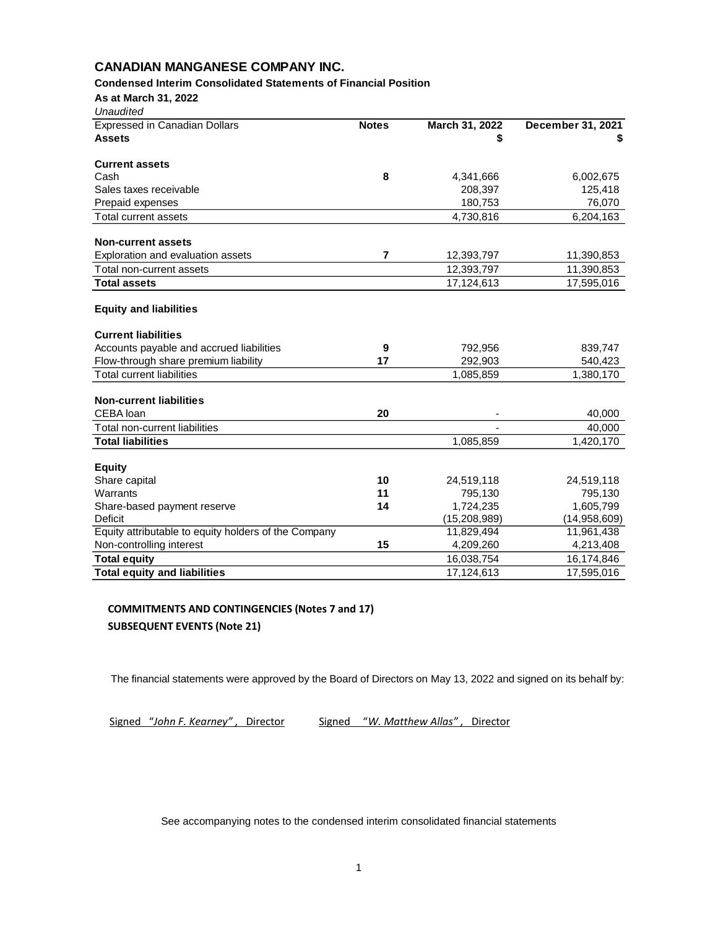### **Condensed Interim Consolidated Statements of Financial Position**

**As at March 31, 2022** *Unaudited*

| unaudīted                                            |              |                |                   |
|------------------------------------------------------|--------------|----------------|-------------------|
| <b>Expressed in Canadian Dollars</b>                 | <b>Notes</b> | March 31, 2022 | December 31, 2021 |
| <b>Assets</b>                                        |              | S              |                   |
|                                                      |              |                |                   |
| <b>Current assets</b>                                |              |                |                   |
| Cash                                                 | 8            | 4,341,666      | 6,002,675         |
| Sales taxes receivable                               |              | 208,397        | 125,418           |
| Prepaid expenses                                     |              | 180,753        | 76,070            |
| Total current assets                                 |              | 4,730,816      | 6,204,163         |
|                                                      |              |                |                   |
| <b>Non-current assets</b>                            |              |                |                   |
| Exploration and evaluation assets                    | 7            | 12,393,797     | 11,390,853        |
| Total non-current assets                             |              | 12,393,797     | 11,390,853        |
| <b>Total assets</b>                                  |              | 17,124,613     | 17,595,016        |
|                                                      |              |                |                   |
| <b>Equity and liabilities</b>                        |              |                |                   |
| <b>Current liabilities</b>                           |              |                |                   |
| Accounts payable and accrued liabilities             | 9            | 792,956        | 839,747           |
| Flow-through share premium liability                 | 17           | 292,903        | 540,423           |
| <b>Total current liabilities</b>                     |              | 1,085,859      | 1,380,170         |
|                                                      |              |                |                   |
| <b>Non-current liabilities</b>                       |              |                |                   |
| CEBA loan                                            | 20           |                | 40,000            |
| Total non-current liabilities                        |              |                | 40,000            |
| <b>Total liabilities</b>                             |              | 1,085,859      | 1,420,170         |
|                                                      |              |                |                   |
| <b>Equity</b>                                        |              |                |                   |
| Share capital                                        | 10           | 24,519,118     | 24,519,118        |
| Warrants                                             | 11           | 795,130        | 795,130           |
| Share-based payment reserve                          | 14           | 1,724,235      | 1,605,799         |
| Deficit                                              |              | (15, 208, 989) | (14,958,609)      |
| Equity attributable to equity holders of the Company |              | 11,829,494     | 11,961,438        |
| Non-controlling interest                             | 15           | 4,209,260      | 4,213,408         |
| <b>Total equity</b>                                  |              | 16,038,754     | 16,174,846        |
| <b>Total equity and liabilities</b>                  |              | 17.124.613     | 17,595,016        |

# **COMMITMENTS AND CONTINGENCIES (Notes 7 and 17) SUBSEQUENT EVENTS (Note 21)**

The financial statements were approved by the Board of Directors on May 13, 2022 and signed on its behalf by:

Signed "*John F. Kearney" ,* Director Signed "*W. Matthew Allas" ,* Director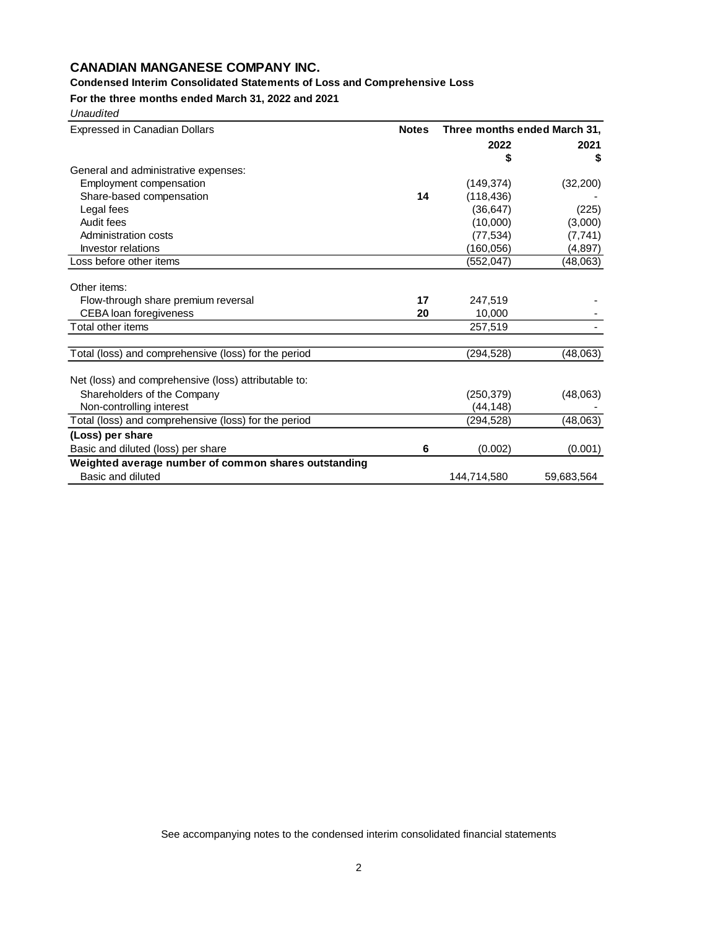# **Condensed Interim Consolidated Statements of Loss and Comprehensive Loss**

**For the three months ended March 31, 2022 and 2021**

| Unaudited                                            |              |                              |            |
|------------------------------------------------------|--------------|------------------------------|------------|
| <b>Expressed in Canadian Dollars</b>                 | <b>Notes</b> | Three months ended March 31, |            |
|                                                      |              | 2022                         | 2021       |
|                                                      |              | \$                           | \$         |
| General and administrative expenses:                 |              |                              |            |
| Employment compensation                              |              | (149, 374)                   | (32, 200)  |
| Share-based compensation                             | 14           | (118, 436)                   |            |
| Legal fees                                           |              | (36, 647)                    | (225)      |
| Audit fees                                           |              | (10,000)                     | (3,000)    |
| Administration costs                                 |              | (77, 534)                    | (7, 741)   |
| Investor relations                                   |              | (160,056)                    | (4,897)    |
| Loss before other items                              |              | (552, 047)                   | (48,063)   |
| Other items:                                         |              |                              |            |
| Flow-through share premium reversal                  | 17           | 247,519                      |            |
| CEBA loan foregiveness                               | 20           | 10,000                       |            |
| Total other items                                    |              | 257,519                      |            |
| Total (loss) and comprehensive (loss) for the period |              | (294,528)                    | (48,063)   |
|                                                      |              |                              |            |
| Net (loss) and comprehensive (loss) attributable to: |              |                              |            |
| Shareholders of the Company                          |              | (250, 379)                   | (48,063)   |
| Non-controlling interest                             |              | (44,148)                     |            |
| Total (loss) and comprehensive (loss) for the period |              | (294,528)                    | (48,063)   |
| (Loss) per share                                     |              |                              |            |
| Basic and diluted (loss) per share                   | 6            | (0.002)                      | (0.001)    |
| Weighted average number of common shares outstanding |              |                              |            |
| Basic and diluted                                    |              | 144,714,580                  | 59,683,564 |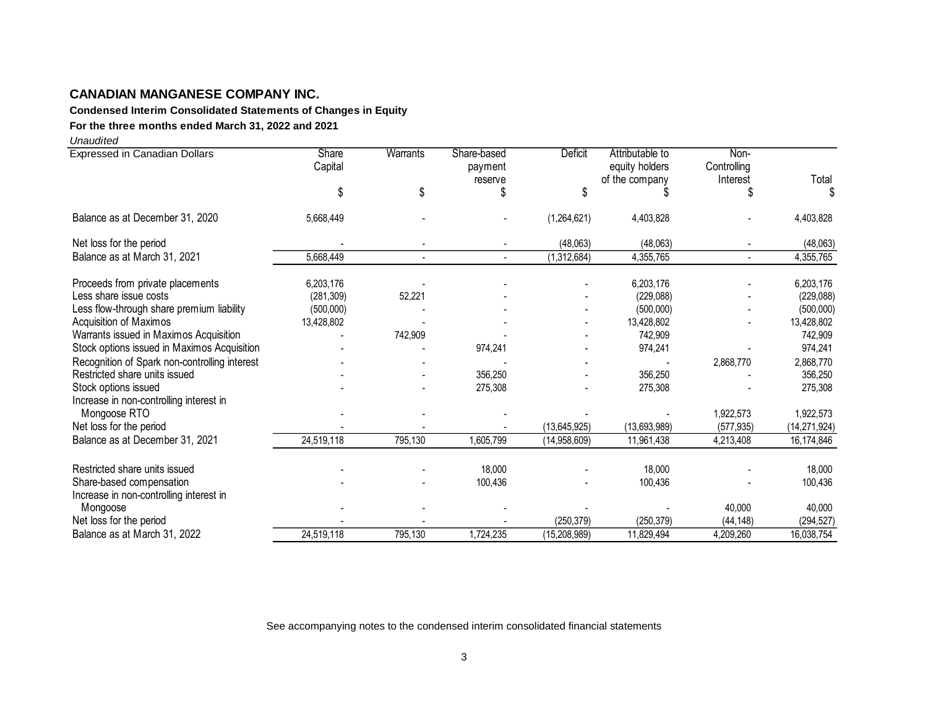**Condensed Interim Consolidated Statements of Changes in Equity**

# **For the three months ended March 31, 2022 and 2021**

*Unaudited*

| <b>Expressed in Canadian Dollars</b>          | Share<br>Capital | Warrants | Share-based<br>payment<br>reserve | <b>Deficit</b> | Attributable to<br>equity holders<br>of the company | Non-<br>Controlling<br>Interest | Total          |
|-----------------------------------------------|------------------|----------|-----------------------------------|----------------|-----------------------------------------------------|---------------------------------|----------------|
|                                               | \$               | \$       | \$                                | S              |                                                     | \$                              |                |
| Balance as at December 31, 2020               | 5,668,449        |          |                                   | (1,264,621)    | 4,403,828                                           |                                 | 4,403,828      |
| Net loss for the period                       |                  |          |                                   | (48,063)       | (48,063)                                            |                                 | (48,063)       |
| Balance as at March 31, 2021                  | 5,668,449        |          | $\overline{a}$                    | (1,312,684)    | 4,355,765                                           | $\overline{a}$                  | 4,355,765      |
| Proceeds from private placements              | 6,203,176        |          |                                   |                | 6,203,176                                           |                                 | 6,203,176      |
| Less share issue costs                        | (281, 309)       | 52,221   |                                   |                | (229,088)                                           |                                 | (229,088)      |
| Less flow-through share premium liability     | (500,000)        |          |                                   |                | (500,000)                                           |                                 | (500,000)      |
| Acquisition of Maximos                        | 13,428,802       |          |                                   |                | 13,428,802                                          |                                 | 13,428,802     |
| Warrants issued in Maximos Acquisition        |                  | 742,909  |                                   |                | 742,909                                             |                                 | 742.909        |
| Stock options issued in Maximos Acquisition   |                  |          | 974,241                           |                | 974,241                                             |                                 | 974,241        |
| Recognition of Spark non-controlling interest |                  |          |                                   |                |                                                     | 2,868,770                       | 2,868,770      |
| Restricted share units issued                 |                  |          | 356,250                           |                | 356,250                                             |                                 | 356,250        |
| Stock options issued                          |                  |          | 275,308                           |                | 275,308                                             |                                 | 275,308        |
| Increase in non-controlling interest in       |                  |          |                                   |                |                                                     |                                 |                |
| Mongoose RTO                                  |                  |          |                                   |                |                                                     | 1,922,573                       | 1,922,573      |
| Net loss for the period                       |                  |          |                                   | (13, 645, 925) | (13,693,989)                                        | (577, 935)                      | (14, 271, 924) |
| Balance as at December 31, 2021               | 24,519,118       | 795,130  | 1,605,799                         | (14,958,609)   | 11,961,438                                          | 4,213,408                       | 16,174,846     |
| Restricted share units issued                 |                  |          | 18,000                            |                | 18,000                                              |                                 | 18,000         |
| Share-based compensation                      |                  |          | 100,436                           |                | 100,436                                             |                                 | 100,436        |
| Increase in non-controlling interest in       |                  |          |                                   |                |                                                     |                                 |                |
| Mongoose                                      |                  |          |                                   |                |                                                     | 40,000                          | 40,000         |
| Net loss for the period                       |                  |          |                                   | (250, 379)     | (250, 379)                                          | (44, 148)                       | (294, 527)     |
| Balance as at March 31, 2022                  | 24,519,118       | 795,130  | 1,724,235                         | (15, 208, 989) | 11,829,494                                          | 4,209,260                       | 16,038,754     |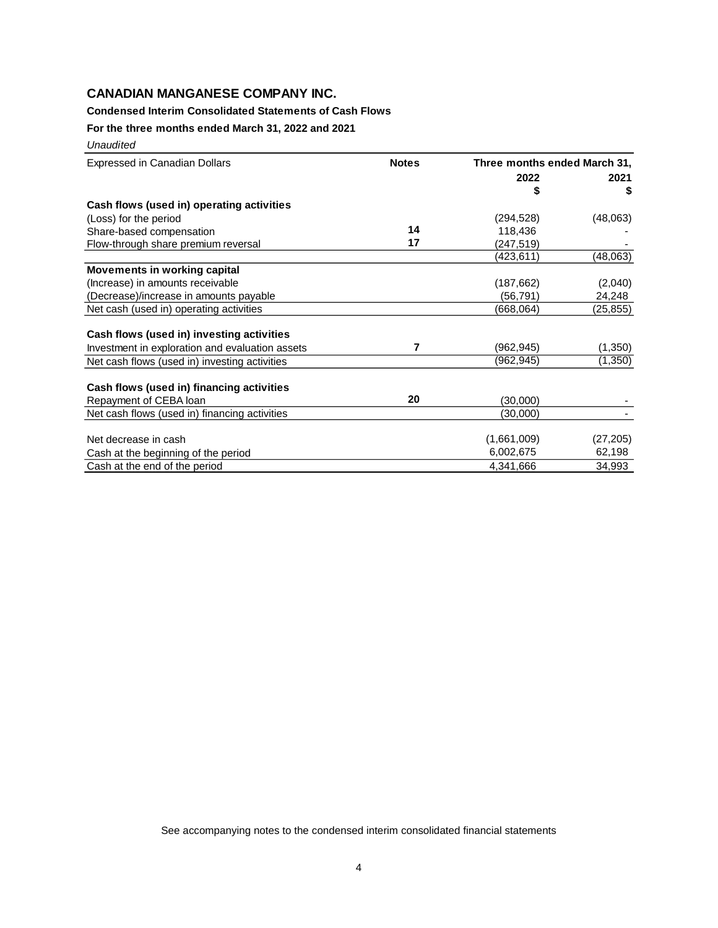### **Condensed Interim Consolidated Statements of Cash Flows**

**For the three months ended March 31, 2022 and 2021**

*Unaudited* 

| <b>Expressed in Canadian Dollars</b>            | <b>Notes</b> | Three months ended March 31, |           |
|-------------------------------------------------|--------------|------------------------------|-----------|
|                                                 |              | 2022                         | 2021      |
|                                                 |              | S                            | S         |
| Cash flows (used in) operating activities       |              |                              |           |
| (Loss) for the period                           |              | (294, 528)                   | (48,063)  |
| Share-based compensation                        | 14           | 118,436                      |           |
| Flow-through share premium reversal             | 17           | (247,519)                    |           |
|                                                 |              | (423,611)                    | (48,063)  |
| <b>Movements in working capital</b>             |              |                              |           |
| (Increase) in amounts receivable                |              | (187, 662)                   | (2,040)   |
| (Decrease)/increase in amounts payable          |              | (56,791)                     | 24,248    |
| Net cash (used in) operating activities         |              | (668,064)                    | (25,855)  |
|                                                 |              |                              |           |
| Cash flows (used in) investing activities       |              |                              |           |
| Investment in exploration and evaluation assets | 7            | (962, 945)                   | (1,350)   |
| Net cash flows (used in) investing activities   |              | (962,945)                    | (1,350)   |
|                                                 |              |                              |           |
| Cash flows (used in) financing activities       |              |                              |           |
| Repayment of CEBA loan                          | 20           | (30,000)                     |           |
| Net cash flows (used in) financing activities   |              | (30,000)                     |           |
| Net decrease in cash                            |              | (1,661,009)                  | (27, 205) |
| Cash at the beginning of the period             |              | 6,002,675                    | 62,198    |
| Cash at the end of the period                   |              | 4,341,666                    | 34,993    |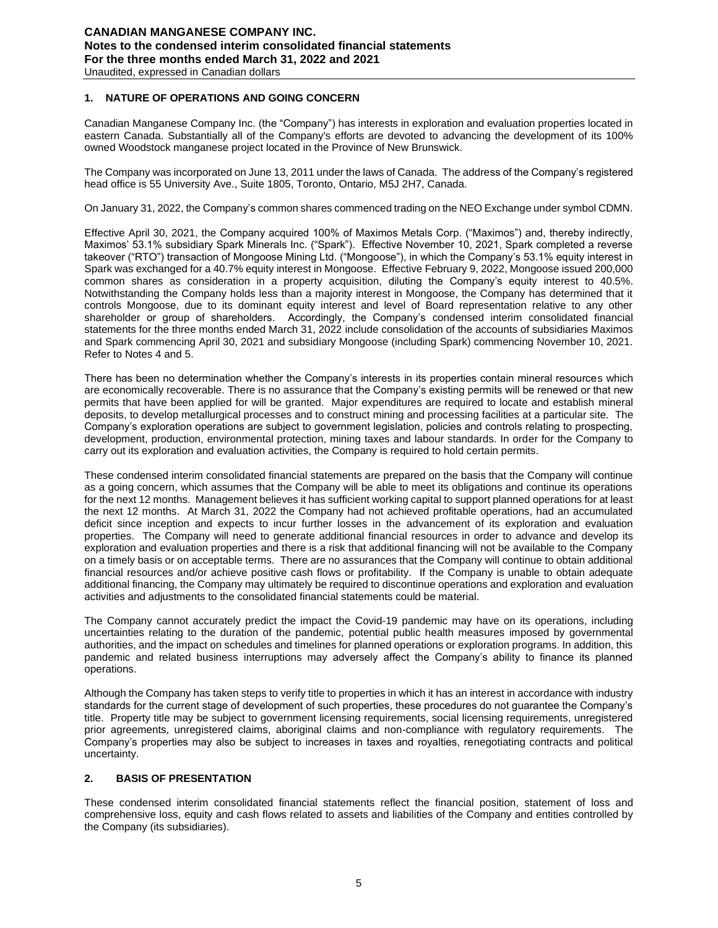### **1. NATURE OF OPERATIONS AND GOING CONCERN**

Canadian Manganese Company Inc. (the "Company") has interests in exploration and evaluation properties located in eastern Canada. Substantially all of the Company's efforts are devoted to advancing the development of its 100% owned Woodstock manganese project located in the Province of New Brunswick.

The Company was incorporated on June 13, 2011 under the laws of Canada. The address of the Company's registered head office is 55 University Ave., Suite 1805, Toronto, Ontario, M5J 2H7, Canada.

On January 31, 2022, the Company's common shares commenced trading on the NEO Exchange under symbol CDMN.

Effective April 30, 2021, the Company acquired 100% of Maximos Metals Corp. ("Maximos") and, thereby indirectly, Maximos' 53.1% subsidiary Spark Minerals Inc. ("Spark"). Effective November 10, 2021, Spark completed a reverse takeover ("RTO") transaction of Mongoose Mining Ltd. ("Mongoose"), in which the Company's 53.1% equity interest in Spark was exchanged for a 40.7% equity interest in Mongoose. Effective February 9, 2022, Mongoose issued 200,000 common shares as consideration in a property acquisition, diluting the Company's equity interest to 40.5%. Notwithstanding the Company holds less than a majority interest in Mongoose, the Company has determined that it controls Mongoose, due to its dominant equity interest and level of Board representation relative to any other shareholder or group of shareholders. Accordingly, the Company's condensed interim consolidated financial statements for the three months ended March 31, 2022 include consolidation of the accounts of subsidiaries Maximos and Spark commencing April 30, 2021 and subsidiary Mongoose (including Spark) commencing November 10, 2021. Refer to Notes 4 and 5.

There has been no determination whether the Company's interests in its properties contain mineral resources which are economically recoverable. There is no assurance that the Company's existing permits will be renewed or that new permits that have been applied for will be granted. Major expenditures are required to locate and establish mineral deposits, to develop metallurgical processes and to construct mining and processing facilities at a particular site. The Company's exploration operations are subject to government legislation, policies and controls relating to prospecting, development, production, environmental protection, mining taxes and labour standards. In order for the Company to carry out its exploration and evaluation activities, the Company is required to hold certain permits.

These condensed interim consolidated financial statements are prepared on the basis that the Company will continue as a going concern, which assumes that the Company will be able to meet its obligations and continue its operations for the next 12 months. Management believes it has sufficient working capital to support planned operations for at least the next 12 months. At March 31, 2022 the Company had not achieved profitable operations, had an accumulated deficit since inception and expects to incur further losses in the advancement of its exploration and evaluation properties. The Company will need to generate additional financial resources in order to advance and develop its exploration and evaluation properties and there is a risk that additional financing will not be available to the Company on a timely basis or on acceptable terms. There are no assurances that the Company will continue to obtain additional financial resources and/or achieve positive cash flows or profitability. If the Company is unable to obtain adequate additional financing, the Company may ultimately be required to discontinue operations and exploration and evaluation activities and adjustments to the consolidated financial statements could be material.

The Company cannot accurately predict the impact the Covid-19 pandemic may have on its operations, including uncertainties relating to the duration of the pandemic, potential public health measures imposed by governmental authorities, and the impact on schedules and timelines for planned operations or exploration programs. In addition, this pandemic and related business interruptions may adversely affect the Company's ability to finance its planned operations.

Although the Company has taken steps to verify title to properties in which it has an interest in accordance with industry standards for the current stage of development of such properties, these procedures do not guarantee the Company's title. Property title may be subject to government licensing requirements, social licensing requirements, unregistered prior agreements, unregistered claims, aboriginal claims and non-compliance with regulatory requirements. The Company's properties may also be subject to increases in taxes and royalties, renegotiating contracts and political uncertainty.

### **2. BASIS OF PRESENTATION**

These condensed interim consolidated financial statements reflect the financial position, statement of loss and comprehensive loss, equity and cash flows related to assets and liabilities of the Company and entities controlled by the Company (its subsidiaries).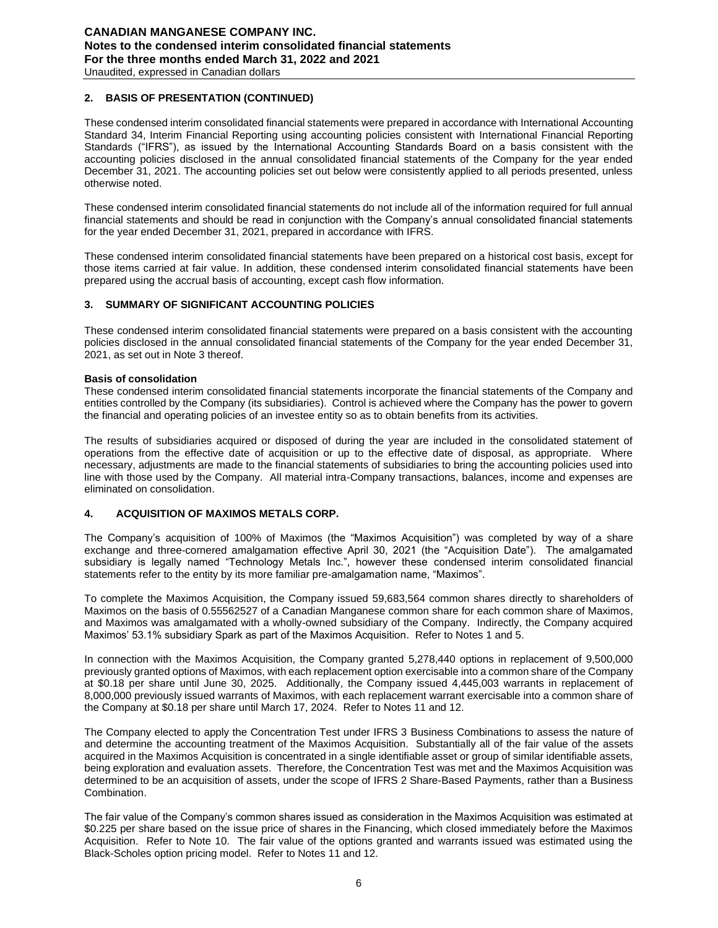### **2. BASIS OF PRESENTATION (CONTINUED)**

These condensed interim consolidated financial statements were prepared in accordance with International Accounting Standard 34, Interim Financial Reporting using accounting policies consistent with International Financial Reporting Standards ("IFRS"), as issued by the International Accounting Standards Board on a basis consistent with the accounting policies disclosed in the annual consolidated financial statements of the Company for the year ended December 31, 2021. The accounting policies set out below were consistently applied to all periods presented, unless otherwise noted.

These condensed interim consolidated financial statements do not include all of the information required for full annual financial statements and should be read in conjunction with the Company's annual consolidated financial statements for the year ended December 31, 2021, prepared in accordance with IFRS.

These condensed interim consolidated financial statements have been prepared on a historical cost basis, except for those items carried at fair value. In addition, these condensed interim consolidated financial statements have been prepared using the accrual basis of accounting, except cash flow information.

### **3. SUMMARY OF SIGNIFICANT ACCOUNTING POLICIES**

These condensed interim consolidated financial statements were prepared on a basis consistent with the accounting policies disclosed in the annual consolidated financial statements of the Company for the year ended December 31, 2021, as set out in Note 3 thereof.

### **Basis of consolidation**

These condensed interim consolidated financial statements incorporate the financial statements of the Company and entities controlled by the Company (its subsidiaries). Control is achieved where the Company has the power to govern the financial and operating policies of an investee entity so as to obtain benefits from its activities.

The results of subsidiaries acquired or disposed of during the year are included in the consolidated statement of operations from the effective date of acquisition or up to the effective date of disposal, as appropriate. Where necessary, adjustments are made to the financial statements of subsidiaries to bring the accounting policies used into line with those used by the Company. All material intra-Company transactions, balances, income and expenses are eliminated on consolidation.

### **4. ACQUISITION OF MAXIMOS METALS CORP.**

The Company's acquisition of 100% of Maximos (the "Maximos Acquisition") was completed by way of a share exchange and three-cornered amalgamation effective April 30, 2021 (the "Acquisition Date"). The amalgamated subsidiary is legally named "Technology Metals Inc.", however these condensed interim consolidated financial statements refer to the entity by its more familiar pre-amalgamation name, "Maximos".

To complete the Maximos Acquisition, the Company issued 59,683,564 common shares directly to shareholders of Maximos on the basis of 0.55562527 of a Canadian Manganese common share for each common share of Maximos, and Maximos was amalgamated with a wholly-owned subsidiary of the Company. Indirectly, the Company acquired Maximos' 53.1% subsidiary Spark as part of the Maximos Acquisition. Refer to Notes 1 and 5.

In connection with the Maximos Acquisition, the Company granted 5,278,440 options in replacement of 9,500,000 previously granted options of Maximos, with each replacement option exercisable into a common share of the Company at \$0.18 per share until June 30, 2025. Additionally, the Company issued 4,445,003 warrants in replacement of 8,000,000 previously issued warrants of Maximos, with each replacement warrant exercisable into a common share of the Company at \$0.18 per share until March 17, 2024. Refer to Notes 11 and 12.

The Company elected to apply the Concentration Test under IFRS 3 Business Combinations to assess the nature of and determine the accounting treatment of the Maximos Acquisition. Substantially all of the fair value of the assets acquired in the Maximos Acquisition is concentrated in a single identifiable asset or group of similar identifiable assets, being exploration and evaluation assets. Therefore, the Concentration Test was met and the Maximos Acquisition was determined to be an acquisition of assets, under the scope of IFRS 2 Share-Based Payments, rather than a Business Combination.

The fair value of the Company's common shares issued as consideration in the Maximos Acquisition was estimated at \$0.225 per share based on the issue price of shares in the Financing, which closed immediately before the Maximos Acquisition. Refer to Note 10. The fair value of the options granted and warrants issued was estimated using the Black-Scholes option pricing model. Refer to Notes 11 and 12.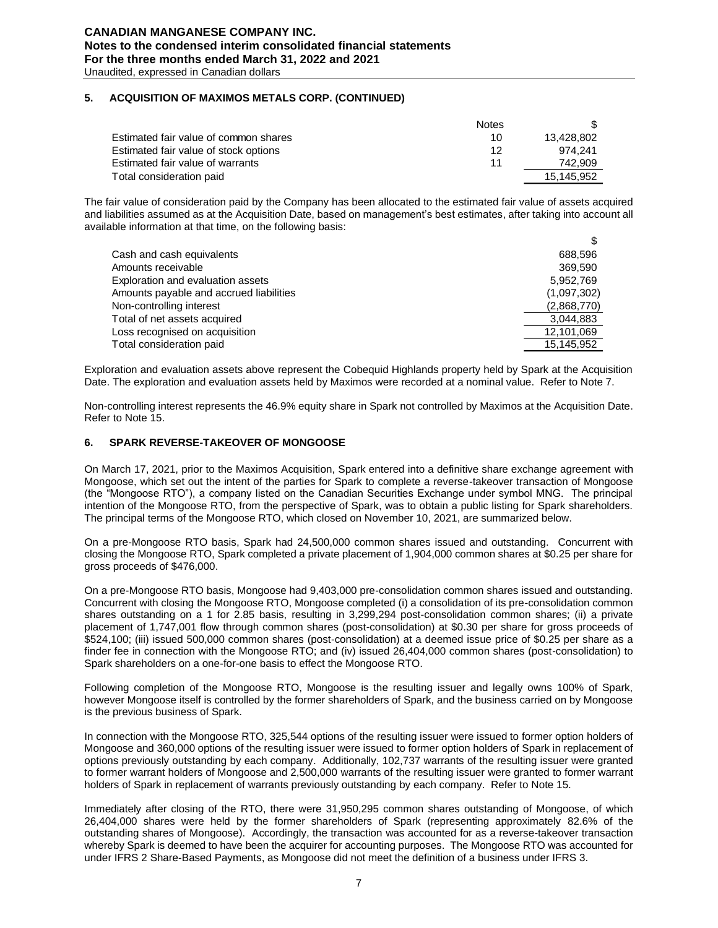### **5. ACQUISITION OF MAXIMOS METALS CORP. (CONTINUED)**

|                                       | <b>Notes</b> |            |
|---------------------------------------|--------------|------------|
| Estimated fair value of common shares | 10           | 13.428.802 |
| Estimated fair value of stock options | 12           | 974.241    |
| Estimated fair value of warrants      | 11           | 742.909    |
| Total consideration paid              |              | 15.145.952 |

The fair value of consideration paid by the Company has been allocated to the estimated fair value of assets acquired and liabilities assumed as at the Acquisition Date, based on management's best estimates, after taking into account all available information at that time, on the following basis:

| Cash and cash equivalents               | 688.596     |
|-----------------------------------------|-------------|
| Amounts receivable                      | 369.590     |
| Exploration and evaluation assets       | 5,952,769   |
| Amounts payable and accrued liabilities | (1,097,302) |
| Non-controlling interest                | (2,868,770) |
| Total of net assets acquired            | 3.044.883   |
| Loss recognised on acquisition          | 12,101,069  |
| Total consideration paid                | 15.145.952  |

Exploration and evaluation assets above represent the Cobequid Highlands property held by Spark at the Acquisition Date. The exploration and evaluation assets held by Maximos were recorded at a nominal value. Refer to Note 7.

Non-controlling interest represents the 46.9% equity share in Spark not controlled by Maximos at the Acquisition Date. Refer to Note 15.

### **6. SPARK REVERSE-TAKEOVER OF MONGOOSE**

On March 17, 2021, prior to the Maximos Acquisition, Spark entered into a definitive share exchange agreement with Mongoose, which set out the intent of the parties for Spark to complete a reverse-takeover transaction of Mongoose (the "Mongoose RTO"), a company listed on the Canadian Securities Exchange under symbol MNG. The principal intention of the Mongoose RTO, from the perspective of Spark, was to obtain a public listing for Spark shareholders. The principal terms of the Mongoose RTO, which closed on November 10, 2021, are summarized below.

On a pre-Mongoose RTO basis, Spark had 24,500,000 common shares issued and outstanding. Concurrent with closing the Mongoose RTO, Spark completed a private placement of 1,904,000 common shares at \$0.25 per share for gross proceeds of \$476,000.

On a pre-Mongoose RTO basis, Mongoose had 9,403,000 pre-consolidation common shares issued and outstanding. Concurrent with closing the Mongoose RTO, Mongoose completed (i) a consolidation of its pre-consolidation common shares outstanding on a 1 for 2.85 basis, resulting in 3,299,294 post-consolidation common shares; (ii) a private placement of 1,747,001 flow through common shares (post-consolidation) at \$0.30 per share for gross proceeds of \$524,100; (iii) issued 500,000 common shares (post-consolidation) at a deemed issue price of \$0.25 per share as a finder fee in connection with the Mongoose RTO; and (iv) issued 26,404,000 common shares (post-consolidation) to Spark shareholders on a one-for-one basis to effect the Mongoose RTO.

Following completion of the Mongoose RTO, Mongoose is the resulting issuer and legally owns 100% of Spark, however Mongoose itself is controlled by the former shareholders of Spark, and the business carried on by Mongoose is the previous business of Spark.

In connection with the Mongoose RTO, 325,544 options of the resulting issuer were issued to former option holders of Mongoose and 360,000 options of the resulting issuer were issued to former option holders of Spark in replacement of options previously outstanding by each company. Additionally, 102,737 warrants of the resulting issuer were granted to former warrant holders of Mongoose and 2,500,000 warrants of the resulting issuer were granted to former warrant holders of Spark in replacement of warrants previously outstanding by each company. Refer to Note 15.

Immediately after closing of the RTO, there were 31,950,295 common shares outstanding of Mongoose, of which 26,404,000 shares were held by the former shareholders of Spark (representing approximately 82.6% of the outstanding shares of Mongoose). Accordingly, the transaction was accounted for as a reverse-takeover transaction whereby Spark is deemed to have been the acquirer for accounting purposes. The Mongoose RTO was accounted for under IFRS 2 Share-Based Payments, as Mongoose did not meet the definition of a business under IFRS 3.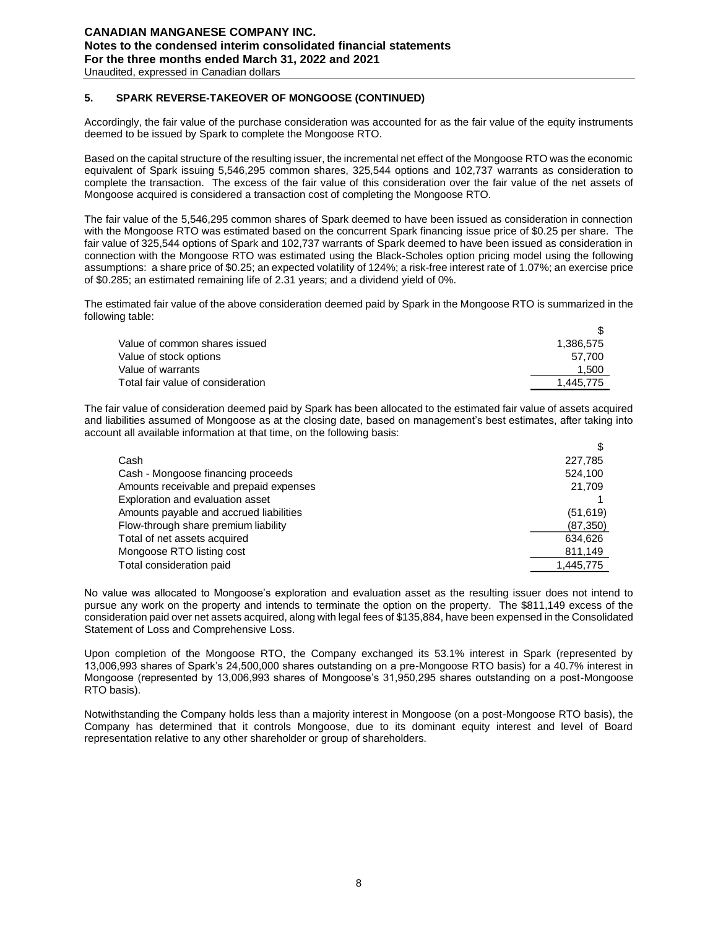# **5. SPARK REVERSE-TAKEOVER OF MONGOOSE (CONTINUED)**

Accordingly, the fair value of the purchase consideration was accounted for as the fair value of the equity instruments deemed to be issued by Spark to complete the Mongoose RTO.

Based on the capital structure of the resulting issuer, the incremental net effect of the Mongoose RTO was the economic equivalent of Spark issuing 5,546,295 common shares, 325,544 options and 102,737 warrants as consideration to complete the transaction. The excess of the fair value of this consideration over the fair value of the net assets of Mongoose acquired is considered a transaction cost of completing the Mongoose RTO.

The fair value of the 5,546,295 common shares of Spark deemed to have been issued as consideration in connection with the Mongoose RTO was estimated based on the concurrent Spark financing issue price of \$0.25 per share. The fair value of 325,544 options of Spark and 102,737 warrants of Spark deemed to have been issued as consideration in connection with the Mongoose RTO was estimated using the Black-Scholes option pricing model using the following assumptions: a share price of \$0.25; an expected volatility of 124%; a risk-free interest rate of 1.07%; an exercise price of \$0.285; an estimated remaining life of 2.31 years; and a dividend yield of 0%.

The estimated fair value of the above consideration deemed paid by Spark in the Mongoose RTO is summarized in the following table:

| Value of common shares issued     | 1.386.575 |
|-----------------------------------|-----------|
| Value of stock options            | 57.700    |
| Value of warrants                 | 1,500     |
| Total fair value of consideration | 1.445.775 |
|                                   |           |

\$

 $\sigma$ 

The fair value of consideration deemed paid by Spark has been allocated to the estimated fair value of assets acquired and liabilities assumed of Mongoose as at the closing date, based on management's best estimates, after taking into account all available information at that time, on the following basis:

| Cash                                    | 227,785   |
|-----------------------------------------|-----------|
| Cash - Mongoose financing proceeds      | 524,100   |
| Amounts receivable and prepaid expenses | 21.709    |
| Exploration and evaluation asset        |           |
| Amounts payable and accrued liabilities | (51, 619) |
| Flow-through share premium liability    | (87, 350) |
| Total of net assets acquired            | 634,626   |
| Mongoose RTO listing cost               | 811,149   |
| Total consideration paid                | 1,445,775 |
|                                         |           |

No value was allocated to Mongoose's exploration and evaluation asset as the resulting issuer does not intend to pursue any work on the property and intends to terminate the option on the property. The \$811,149 excess of the consideration paid over net assets acquired, along with legal fees of \$135,884, have been expensed in the Consolidated Statement of Loss and Comprehensive Loss.

Upon completion of the Mongoose RTO, the Company exchanged its 53.1% interest in Spark (represented by 13,006,993 shares of Spark's 24,500,000 shares outstanding on a pre-Mongoose RTO basis) for a 40.7% interest in Mongoose (represented by 13,006,993 shares of Mongoose's 31,950,295 shares outstanding on a post-Mongoose RTO basis).

Notwithstanding the Company holds less than a majority interest in Mongoose (on a post-Mongoose RTO basis), the Company has determined that it controls Mongoose, due to its dominant equity interest and level of Board representation relative to any other shareholder or group of shareholders.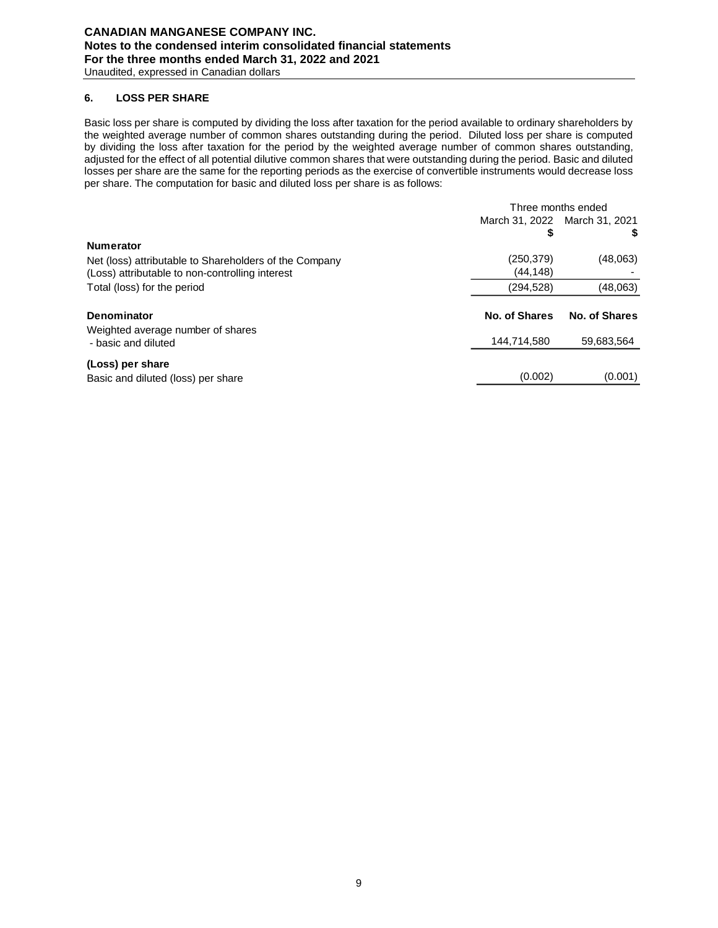### **6. LOSS PER SHARE**

Basic loss per share is computed by dividing the loss after taxation for the period available to ordinary shareholders by the weighted average number of common shares outstanding during the period. Diluted loss per share is computed by dividing the loss after taxation for the period by the weighted average number of common shares outstanding, adjusted for the effect of all potential dilutive common shares that were outstanding during the period. Basic and diluted losses per share are the same for the reporting periods as the exercise of convertible instruments would decrease loss per share. The computation for basic and diluted loss per share is as follows:

|                                                        | Three months ended            |               |  |
|--------------------------------------------------------|-------------------------------|---------------|--|
|                                                        | March 31, 2022 March 31, 2021 |               |  |
|                                                        | \$                            | S.            |  |
| <b>Numerator</b>                                       |                               |               |  |
| Net (loss) attributable to Shareholders of the Company | (250, 379)                    | (48,063)      |  |
| (Loss) attributable to non-controlling interest        | (44, 148)                     |               |  |
| Total (loss) for the period                            | (294, 528)                    | (48,063)      |  |
| Denominator                                            | No. of Shares                 | No. of Shares |  |
| Weighted average number of shares                      |                               |               |  |
| - basic and diluted                                    | 144,714,580                   | 59,683,564    |  |
| (Loss) per share                                       |                               |               |  |
| Basic and diluted (loss) per share                     | (0.002)                       | (0.001)       |  |
|                                                        |                               |               |  |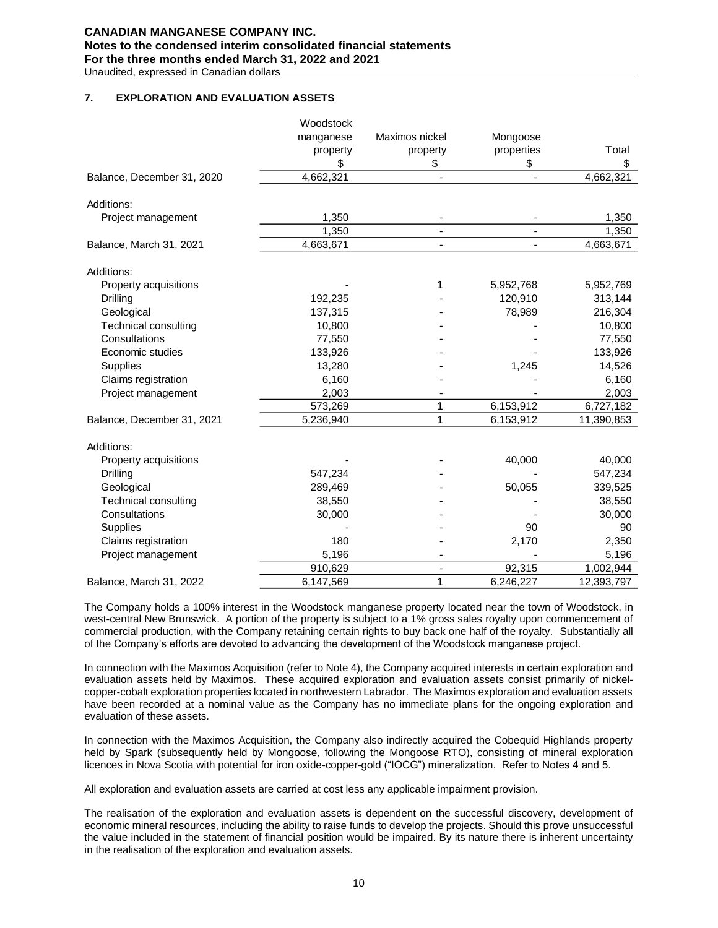# **CANADIAN MANGANESE COMPANY INC. Notes to the condensed interim consolidated financial statements For the three months ended March 31, 2022 and 2021**

Unaudited, expressed in Canadian dollars

### **7. EXPLORATION AND EVALUATION ASSETS**

|                             | Woodstock |                          |                          |            |
|-----------------------------|-----------|--------------------------|--------------------------|------------|
|                             | manganese | Maximos nickel           | Mongoose                 |            |
|                             | property  | property                 | properties               | Total      |
|                             | \$        | \$                       | \$                       | \$         |
| Balance, December 31, 2020  | 4,662,321 | $\blacksquare$           | $\overline{\phantom{a}}$ | 4,662,321  |
| Additions:                  |           |                          |                          |            |
| Project management          | 1,350     |                          |                          | 1,350      |
|                             | 1,350     | $\overline{\phantom{a}}$ |                          | 1,350      |
| Balance, March 31, 2021     | 4,663,671 | ä,                       |                          | 4,663,671  |
| Additions:                  |           |                          |                          |            |
| Property acquisitions       |           | 1                        | 5,952,768                | 5,952,769  |
| Drilling                    | 192,235   |                          | 120,910                  | 313,144    |
| Geological                  | 137,315   |                          | 78,989                   | 216,304    |
| Technical consulting        | 10,800    |                          |                          | 10,800     |
| Consultations               | 77,550    |                          |                          | 77,550     |
| Economic studies            | 133,926   |                          |                          | 133,926    |
| Supplies                    | 13,280    |                          | 1,245                    | 14,526     |
| Claims registration         | 6,160     |                          |                          | 6,160      |
| Project management          | 2,003     |                          |                          | 2,003      |
|                             | 573,269   | 1                        | 6,153,912                | 6,727,182  |
| Balance, December 31, 2021  | 5,236,940 | 1                        | 6,153,912                | 11,390,853 |
| Additions:                  |           |                          |                          |            |
| Property acquisitions       |           |                          | 40,000                   | 40,000     |
| Drilling                    | 547,234   |                          |                          | 547,234    |
| Geological                  | 289,469   |                          | 50,055                   | 339,525    |
| <b>Technical consulting</b> | 38,550    |                          |                          | 38,550     |
| Consultations               | 30,000    |                          |                          | 30,000     |
| Supplies                    |           |                          | 90                       | 90         |
| Claims registration         | 180       |                          | 2,170                    | 2,350      |
| Project management          | 5,196     |                          |                          | 5,196      |
|                             | 910,629   |                          | 92,315                   | 1,002,944  |
| Balance, March 31, 2022     | 6,147,569 | 1                        | 6,246,227                | 12,393,797 |

The Company holds a 100% interest in the Woodstock manganese property located near the town of Woodstock, in west-central New Brunswick. A portion of the property is subject to a 1% gross sales royalty upon commencement of commercial production, with the Company retaining certain rights to buy back one half of the royalty. Substantially all of the Company's efforts are devoted to advancing the development of the Woodstock manganese project.

In connection with the Maximos Acquisition (refer to Note 4), the Company acquired interests in certain exploration and evaluation assets held by Maximos. These acquired exploration and evaluation assets consist primarily of nickelcopper-cobalt exploration properties located in northwestern Labrador. The Maximos exploration and evaluation assets have been recorded at a nominal value as the Company has no immediate plans for the ongoing exploration and evaluation of these assets.

In connection with the Maximos Acquisition, the Company also indirectly acquired the Cobequid Highlands property held by Spark (subsequently held by Mongoose, following the Mongoose RTO), consisting of mineral exploration licences in Nova Scotia with potential for iron oxide-copper-gold ("IOCG") mineralization. Refer to Notes 4 and 5.

All exploration and evaluation assets are carried at cost less any applicable impairment provision.

The realisation of the exploration and evaluation assets is dependent on the successful discovery, development of economic mineral resources, including the ability to raise funds to develop the projects. Should this prove unsuccessful the value included in the statement of financial position would be impaired. By its nature there is inherent uncertainty in the realisation of the exploration and evaluation assets.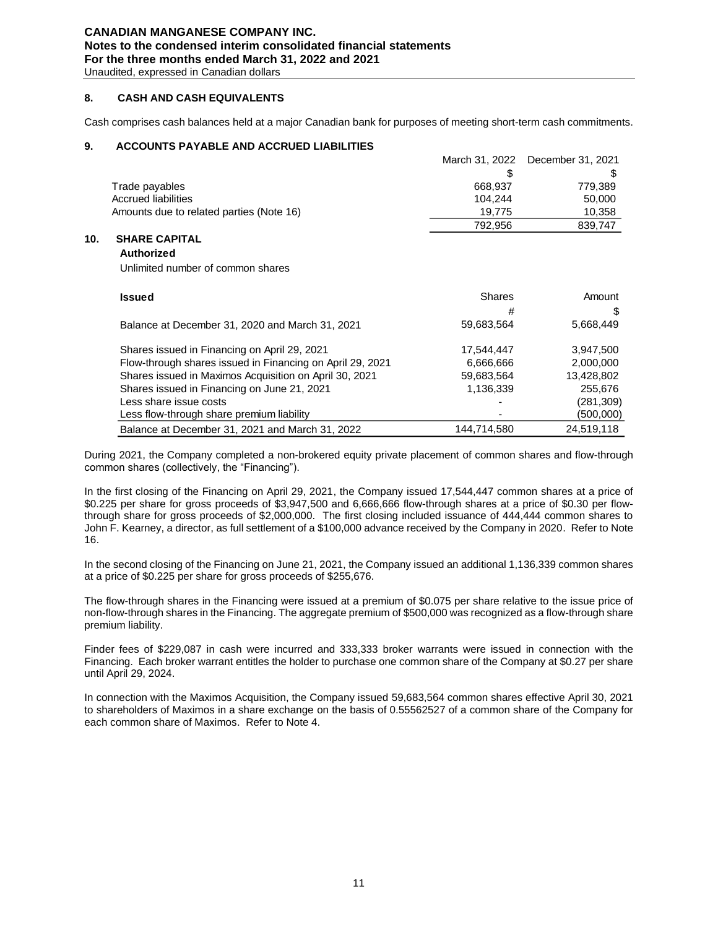# **CANADIAN MANGANESE COMPANY INC. Notes to the condensed interim consolidated financial statements For the three months ended March 31, 2022 and 2021**

Unaudited, expressed in Canadian dollars

### **8. CASH AND CASH EQUIVALENTS**

Cash comprises cash balances held at a major Canadian bank for purposes of meeting short-term cash commitments.

### **9. ACCOUNTS PAYABLE AND ACCRUED LIABILITIES**

|     |                                          |         | March 31, 2022 December 31, 2021 |
|-----|------------------------------------------|---------|----------------------------------|
|     |                                          |         |                                  |
|     | Trade payables                           | 668.937 | 779.389                          |
|     | Accrued liabilities                      | 104.244 | 50,000                           |
|     | Amounts due to related parties (Note 16) | 19.775  | 10,358                           |
|     |                                          | 792.956 | 839,747                          |
| 10. | <b>SHARE CAPITAL</b>                     |         |                                  |

## **Authorized**

Unlimited number of common shares

| <b>Issued</b>                                             | <b>Shares</b> | Amount     |
|-----------------------------------------------------------|---------------|------------|
|                                                           | #             | S          |
| Balance at December 31, 2020 and March 31, 2021           | 59,683,564    | 5,668,449  |
| Shares issued in Financing on April 29, 2021              | 17,544,447    | 3,947,500  |
| Flow-through shares issued in Financing on April 29, 2021 | 6,666,666     | 2,000,000  |
| Shares issued in Maximos Acquisition on April 30, 2021    | 59,683,564    | 13,428,802 |
| Shares issued in Financing on June 21, 2021               | 1,136,339     | 255,676    |
| Less share issue costs                                    |               | (281,309)  |
| Less flow-through share premium liability                 |               | (500,000)  |
| Balance at December 31, 2021 and March 31, 2022           | 144,714,580   | 24,519,118 |

During 2021, the Company completed a non-brokered equity private placement of common shares and flow-through common shares (collectively, the "Financing").

In the first closing of the Financing on April 29, 2021, the Company issued 17,544,447 common shares at a price of \$0.225 per share for gross proceeds of \$3,947,500 and 6,666,666 flow-through shares at a price of \$0.30 per flowthrough share for gross proceeds of \$2,000,000. The first closing included issuance of 444,444 common shares to John F. Kearney, a director, as full settlement of a \$100,000 advance received by the Company in 2020. Refer to Note 16.

In the second closing of the Financing on June 21, 2021, the Company issued an additional 1,136,339 common shares at a price of \$0.225 per share for gross proceeds of \$255,676.

The flow-through shares in the Financing were issued at a premium of \$0.075 per share relative to the issue price of non-flow-through shares in the Financing. The aggregate premium of \$500,000 was recognized as a flow-through share premium liability.

Finder fees of \$229,087 in cash were incurred and 333,333 broker warrants were issued in connection with the Financing. Each broker warrant entitles the holder to purchase one common share of the Company at \$0.27 per share until April 29, 2024.

In connection with the Maximos Acquisition, the Company issued 59,683,564 common shares effective April 30, 2021 to shareholders of Maximos in a share exchange on the basis of 0.55562527 of a common share of the Company for each common share of Maximos. Refer to Note 4.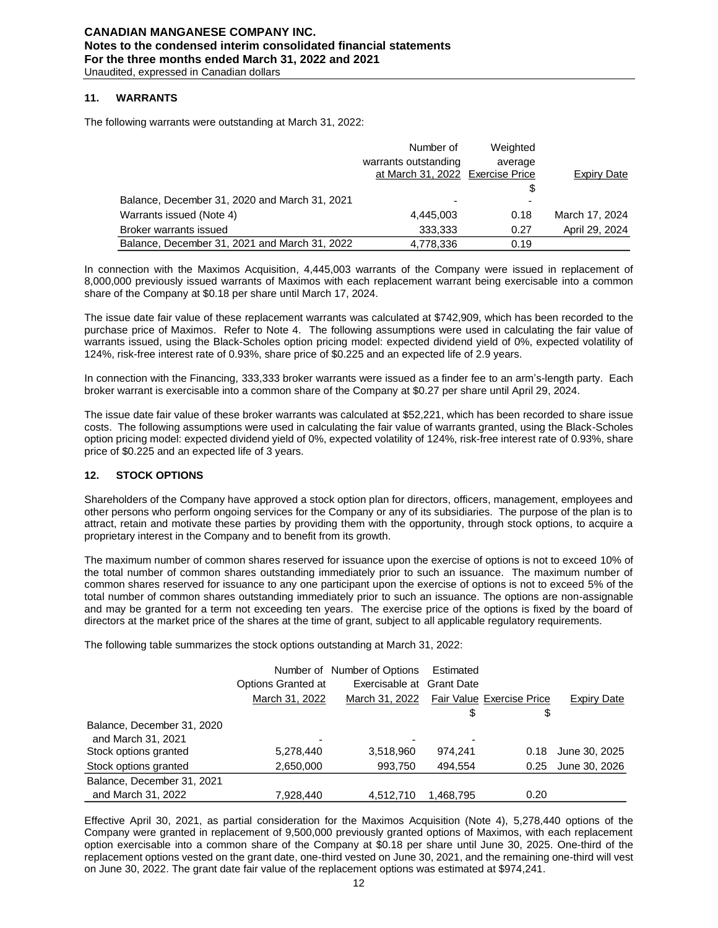### **11. WARRANTS**

The following warrants were outstanding at March 31, 2022:

|                                               | Number of                        | Weighted |                |
|-----------------------------------------------|----------------------------------|----------|----------------|
|                                               | warrants outstanding             | average  |                |
|                                               | at March 31, 2022 Exercise Price |          | Expiry Date    |
|                                               |                                  | \$       |                |
| Balance, December 31, 2020 and March 31, 2021 |                                  |          |                |
| Warrants issued (Note 4)                      | 4,445,003                        | 0.18     | March 17, 2024 |
| Broker warrants issued                        | 333.333                          | 0.27     | April 29, 2024 |
| Balance, December 31, 2021 and March 31, 2022 | 4,778,336                        | 0.19     |                |

In connection with the Maximos Acquisition, 4,445,003 warrants of the Company were issued in replacement of 8,000,000 previously issued warrants of Maximos with each replacement warrant being exercisable into a common share of the Company at \$0.18 per share until March 17, 2024.

The issue date fair value of these replacement warrants was calculated at \$742,909, which has been recorded to the purchase price of Maximos. Refer to Note 4. The following assumptions were used in calculating the fair value of warrants issued, using the Black-Scholes option pricing model: expected dividend yield of 0%, expected volatility of 124%, risk-free interest rate of 0.93%, share price of \$0.225 and an expected life of 2.9 years.

In connection with the Financing, 333,333 broker warrants were issued as a finder fee to an arm's-length party. Each broker warrant is exercisable into a common share of the Company at \$0.27 per share until April 29, 2024.

The issue date fair value of these broker warrants was calculated at \$52,221, which has been recorded to share issue costs. The following assumptions were used in calculating the fair value of warrants granted, using the Black-Scholes option pricing model: expected dividend yield of 0%, expected volatility of 124%, risk-free interest rate of 0.93%, share price of \$0.225 and an expected life of 3 years.

### **12. STOCK OPTIONS**

Shareholders of the Company have approved a stock option plan for directors, officers, management, employees and other persons who perform ongoing services for the Company or any of its subsidiaries. The purpose of the plan is to attract, retain and motivate these parties by providing them with the opportunity, through stock options, to acquire a proprietary interest in the Company and to benefit from its growth.

The maximum number of common shares reserved for issuance upon the exercise of options is not to exceed 10% of the total number of common shares outstanding immediately prior to such an issuance. The maximum number of common shares reserved for issuance to any one participant upon the exercise of options is not to exceed 5% of the total number of common shares outstanding immediately prior to such an issuance. The options are non-assignable and may be granted for a term not exceeding ten years. The exercise price of the options is fixed by the board of directors at the market price of the shares at the time of grant, subject to all applicable regulatory requirements.

The following table summarizes the stock options outstanding at March 31, 2022:

|                            |                    | Number of Number of Options | Estimated |                           |                    |
|----------------------------|--------------------|-----------------------------|-----------|---------------------------|--------------------|
|                            | Options Granted at | Exercisable at Grant Date   |           |                           |                    |
|                            | March 31, 2022     | March 31, 2022              |           | Fair Value Exercise Price | <b>Expiry Date</b> |
|                            |                    |                             | \$        | \$                        |                    |
| Balance, December 31, 2020 |                    |                             |           |                           |                    |
| and March 31, 2021         | ۰                  |                             | ٠         |                           |                    |
| Stock options granted      | 5,278,440          | 3,518,960                   | 974.241   | 0.18                      | June 30, 2025      |
| Stock options granted      | 2,650,000          | 993,750                     | 494.554   | 0.25                      | June 30, 2026      |
| Balance, December 31, 2021 |                    |                             |           |                           |                    |
| and March 31, 2022         | 7.928.440          | 4.512.710                   | 1.468.795 | 0.20                      |                    |

Effective April 30, 2021, as partial consideration for the Maximos Acquisition (Note 4), 5,278,440 options of the Company were granted in replacement of 9,500,000 previously granted options of Maximos, with each replacement option exercisable into a common share of the Company at \$0.18 per share until June 30, 2025. One-third of the replacement options vested on the grant date, one-third vested on June 30, 2021, and the remaining one-third will vest on June 30, 2022. The grant date fair value of the replacement options was estimated at \$974,241.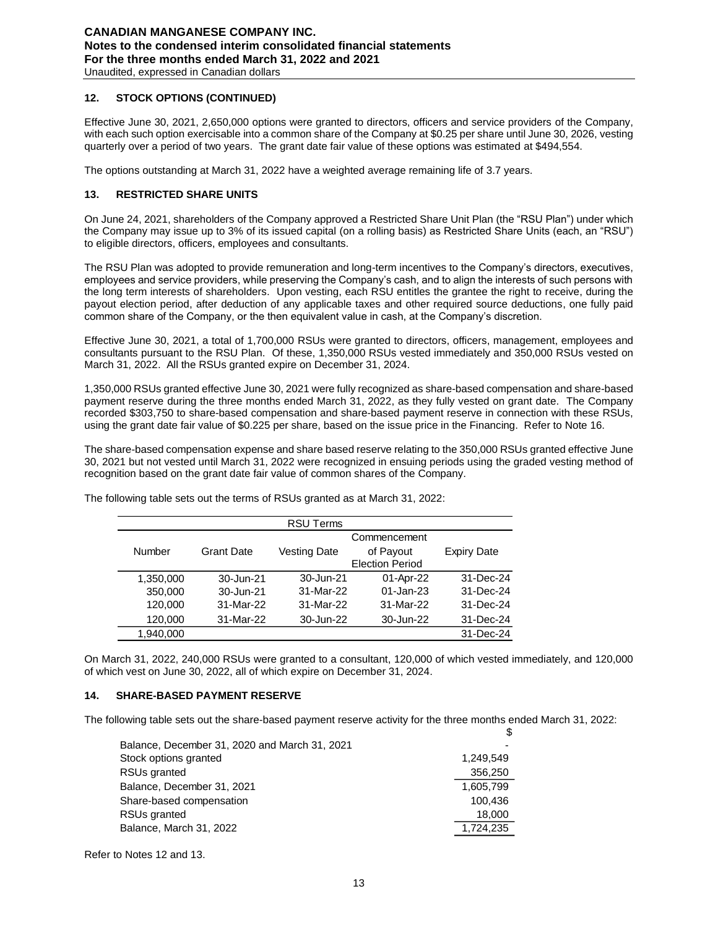### **12. STOCK OPTIONS (CONTINUED)**

Effective June 30, 2021, 2,650,000 options were granted to directors, officers and service providers of the Company, with each such option exercisable into a common share of the Company at \$0.25 per share until June 30, 2026, vesting quarterly over a period of two years. The grant date fair value of these options was estimated at \$494,554.

The options outstanding at March 31, 2022 have a weighted average remaining life of 3.7 years.

### **13. RESTRICTED SHARE UNITS**

On June 24, 2021, shareholders of the Company approved a Restricted Share Unit Plan (the "RSU Plan") under which the Company may issue up to 3% of its issued capital (on a rolling basis) as Restricted Share Units (each, an "RSU") to eligible directors, officers, employees and consultants.

The RSU Plan was adopted to provide remuneration and long-term incentives to the Company's directors, executives, employees and service providers, while preserving the Company's cash, and to align the interests of such persons with the long term interests of shareholders. Upon vesting, each RSU entitles the grantee the right to receive, during the payout election period, after deduction of any applicable taxes and other required source deductions, one fully paid common share of the Company, or the then equivalent value in cash, at the Company's discretion.

Effective June 30, 2021, a total of 1,700,000 RSUs were granted to directors, officers, management, employees and consultants pursuant to the RSU Plan. Of these, 1,350,000 RSUs vested immediately and 350,000 RSUs vested on March 31, 2022. All the RSUs granted expire on December 31, 2024.

1,350,000 RSUs granted effective June 30, 2021 were fully recognized as share-based compensation and share-based payment reserve during the three months ended March 31, 2022, as they fully vested on grant date. The Company recorded \$303,750 to share-based compensation and share-based payment reserve in connection with these RSUs, using the grant date fair value of \$0.225 per share, based on the issue price in the Financing. Refer to Note 16.

The share-based compensation expense and share based reserve relating to the 350,000 RSUs granted effective June 30, 2021 but not vested until March 31, 2022 were recognized in ensuing periods using the graded vesting method of recognition based on the grant date fair value of common shares of the Company.

|           |                   | <b>RSU Terms</b>    |                        |                    |
|-----------|-------------------|---------------------|------------------------|--------------------|
|           |                   |                     | Commencement           |                    |
| Number    | <b>Grant Date</b> | <b>Vesting Date</b> | of Payout              | <b>Expiry Date</b> |
|           |                   |                     | <b>Election Period</b> |                    |
| 1,350,000 | 30-Jun-21         | 30-Jun-21           | 01-Apr-22              | 31-Dec-24          |
| 350,000   | 30-Jun-21         | 31-Mar-22           | 01-Jan-23              | 31-Dec-24          |
| 120,000   | 31-Mar-22         | 31-Mar-22           | 31-Mar-22              | 31-Dec-24          |
| 120,000   | 31-Mar-22         | 30-Jun-22           | 30-Jun-22              | 31-Dec-24          |
| 1,940,000 |                   |                     |                        | 31-Dec-24          |

The following table sets out the terms of RSUs granted as at March 31, 2022:

On March 31, 2022, 240,000 RSUs were granted to a consultant, 120,000 of which vested immediately, and 120,000 of which vest on June 30, 2022, all of which expire on December 31, 2024.

### **14. SHARE-BASED PAYMENT RESERVE**

The following table sets out the share-based payment reserve activity for the three months ended March 31, 2022:

\$

| Balance, December 31, 2020 and March 31, 2021 |           |
|-----------------------------------------------|-----------|
| Stock options granted                         | 1,249,549 |
| RSUs granted                                  | 356,250   |
| Balance, December 31, 2021                    | 1,605,799 |
| Share-based compensation                      | 100.436   |
| RSUs granted                                  | 18,000    |
| Balance, March 31, 2022                       | 1,724,235 |

Refer to Notes 12 and 13.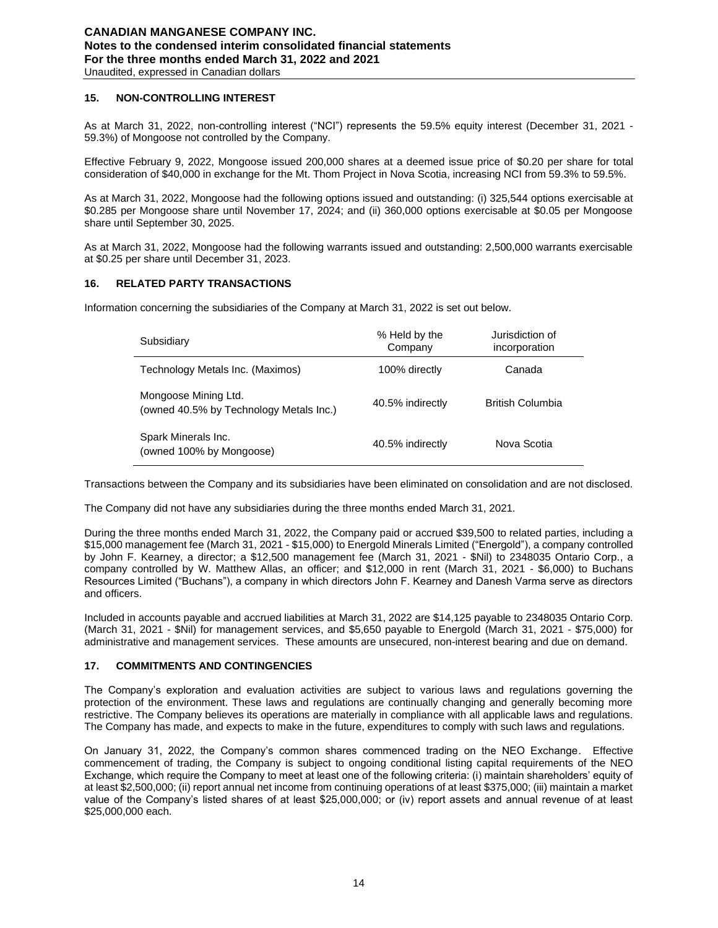### **15. NON-CONTROLLING INTEREST**

As at March 31, 2022, non-controlling interest ("NCI") represents the 59.5% equity interest (December 31, 2021 - 59.3%) of Mongoose not controlled by the Company.

Effective February 9, 2022, Mongoose issued 200,000 shares at a deemed issue price of \$0.20 per share for total consideration of \$40,000 in exchange for the Mt. Thom Project in Nova Scotia, increasing NCI from 59.3% to 59.5%.

As at March 31, 2022, Mongoose had the following options issued and outstanding: (i) 325,544 options exercisable at \$0.285 per Mongoose share until November 17, 2024; and (ii) 360,000 options exercisable at \$0.05 per Mongoose share until September 30, 2025.

As at March 31, 2022, Mongoose had the following warrants issued and outstanding: 2,500,000 warrants exercisable at \$0.25 per share until December 31, 2023.

### **16. RELATED PARTY TRANSACTIONS**

Information concerning the subsidiaries of the Company at March 31, 2022 is set out below.

| Subsidiary                                                      | % Held by the<br>Company | Jurisdiction of<br>incorporation |
|-----------------------------------------------------------------|--------------------------|----------------------------------|
| Technology Metals Inc. (Maximos)                                | 100% directly            | Canada                           |
| Mongoose Mining Ltd.<br>(owned 40.5% by Technology Metals Inc.) | 40.5% indirectly         | British Columbia                 |
| Spark Minerals Inc.<br>(owned 100% by Mongoose)                 | 40.5% indirectly         | Nova Scotia                      |

Transactions between the Company and its subsidiaries have been eliminated on consolidation and are not disclosed.

The Company did not have any subsidiaries during the three months ended March 31, 2021.

During the three months ended March 31, 2022, the Company paid or accrued \$39,500 to related parties, including a \$15,000 management fee (March 31, 2021 - \$15,000) to Energold Minerals Limited ("Energold"), a company controlled by John F. Kearney, a director; a \$12,500 management fee (March 31, 2021 - \$Nil) to 2348035 Ontario Corp., a company controlled by W. Matthew Allas, an officer; and \$12,000 in rent (March 31, 2021 - \$6,000) to Buchans Resources Limited ("Buchans"), a company in which directors John F. Kearney and Danesh Varma serve as directors and officers.

Included in accounts payable and accrued liabilities at March 31, 2022 are \$14,125 payable to 2348035 Ontario Corp. (March 31, 2021 - \$Nil) for management services, and \$5,650 payable to Energold (March 31, 2021 - \$75,000) for administrative and management services. These amounts are unsecured, non-interest bearing and due on demand.

### **17. COMMITMENTS AND CONTINGENCIES**

The Company's exploration and evaluation activities are subject to various laws and regulations governing the protection of the environment. These laws and regulations are continually changing and generally becoming more restrictive. The Company believes its operations are materially in compliance with all applicable laws and regulations. The Company has made, and expects to make in the future, expenditures to comply with such laws and regulations.

On January 31, 2022, the Company's common shares commenced trading on the NEO Exchange. Effective commencement of trading, the Company is subject to ongoing conditional listing capital requirements of the NEO Exchange, which require the Company to meet at least one of the following criteria: (i) maintain shareholders' equity of at least \$2,500,000; (ii) report annual net income from continuing operations of at least \$375,000; (iii) maintain a market value of the Company's listed shares of at least \$25,000,000; or (iv) report assets and annual revenue of at least \$25,000,000 each.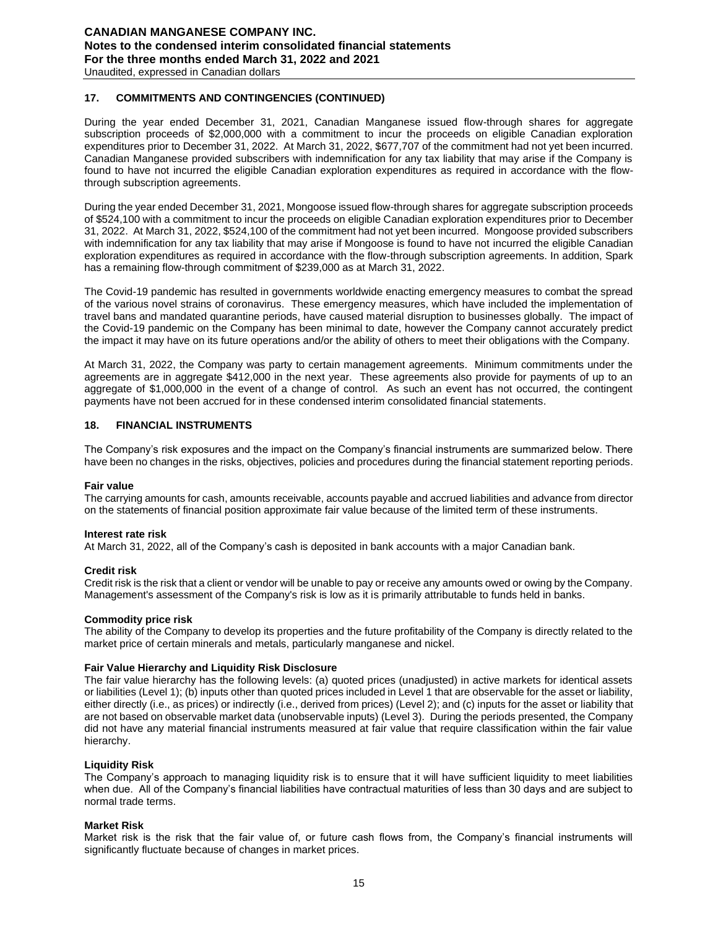### **17. COMMITMENTS AND CONTINGENCIES (CONTINUED)**

During the year ended December 31, 2021, Canadian Manganese issued flow-through shares for aggregate subscription proceeds of \$2,000,000 with a commitment to incur the proceeds on eligible Canadian exploration expenditures prior to December 31, 2022. At March 31, 2022, \$677,707 of the commitment had not yet been incurred. Canadian Manganese provided subscribers with indemnification for any tax liability that may arise if the Company is found to have not incurred the eligible Canadian exploration expenditures as required in accordance with the flowthrough subscription agreements.

During the year ended December 31, 2021, Mongoose issued flow-through shares for aggregate subscription proceeds of \$524,100 with a commitment to incur the proceeds on eligible Canadian exploration expenditures prior to December 31, 2022. At March 31, 2022, \$524,100 of the commitment had not yet been incurred. Mongoose provided subscribers with indemnification for any tax liability that may arise if Mongoose is found to have not incurred the eligible Canadian exploration expenditures as required in accordance with the flow-through subscription agreements. In addition, Spark has a remaining flow-through commitment of \$239,000 as at March 31, 2022.

The Covid-19 pandemic has resulted in governments worldwide enacting emergency measures to combat the spread of the various novel strains of coronavirus. These emergency measures, which have included the implementation of travel bans and mandated quarantine periods, have caused material disruption to businesses globally. The impact of the Covid-19 pandemic on the Company has been minimal to date, however the Company cannot accurately predict the impact it may have on its future operations and/or the ability of others to meet their obligations with the Company.

At March 31, 2022, the Company was party to certain management agreements. Minimum commitments under the agreements are in aggregate \$412,000 in the next year. These agreements also provide for payments of up to an aggregate of \$1,000,000 in the event of a change of control. As such an event has not occurred, the contingent payments have not been accrued for in these condensed interim consolidated financial statements.

### **18. FINANCIAL INSTRUMENTS**

The Company's risk exposures and the impact on the Company's financial instruments are summarized below. There have been no changes in the risks, objectives, policies and procedures during the financial statement reporting periods.

#### **Fair value**

The carrying amounts for cash, amounts receivable, accounts payable and accrued liabilities and advance from director on the statements of financial position approximate fair value because of the limited term of these instruments.

#### **Interest rate risk**

At March 31, 2022, all of the Company's cash is deposited in bank accounts with a major Canadian bank.

#### **Credit risk**

Credit risk is the risk that a client or vendor will be unable to pay or receive any amounts owed or owing by the Company. Management's assessment of the Company's risk is low as it is primarily attributable to funds held in banks.

#### **Commodity price risk**

The ability of the Company to develop its properties and the future profitability of the Company is directly related to the market price of certain minerals and metals, particularly manganese and nickel.

#### **Fair Value Hierarchy and Liquidity Risk Disclosure**

The fair value hierarchy has the following levels: (a) quoted prices (unadjusted) in active markets for identical assets or liabilities (Level 1); (b) inputs other than quoted prices included in Level 1 that are observable for the asset or liability, either directly (i.e., as prices) or indirectly (i.e., derived from prices) (Level 2); and (c) inputs for the asset or liability that are not based on observable market data (unobservable inputs) (Level 3). During the periods presented, the Company did not have any material financial instruments measured at fair value that require classification within the fair value hierarchy.

#### **Liquidity Risk**

The Company's approach to managing liquidity risk is to ensure that it will have sufficient liquidity to meet liabilities when due. All of the Company's financial liabilities have contractual maturities of less than 30 days and are subject to normal trade terms.

#### **Market Risk**

Market risk is the risk that the fair value of, or future cash flows from, the Company's financial instruments will significantly fluctuate because of changes in market prices.